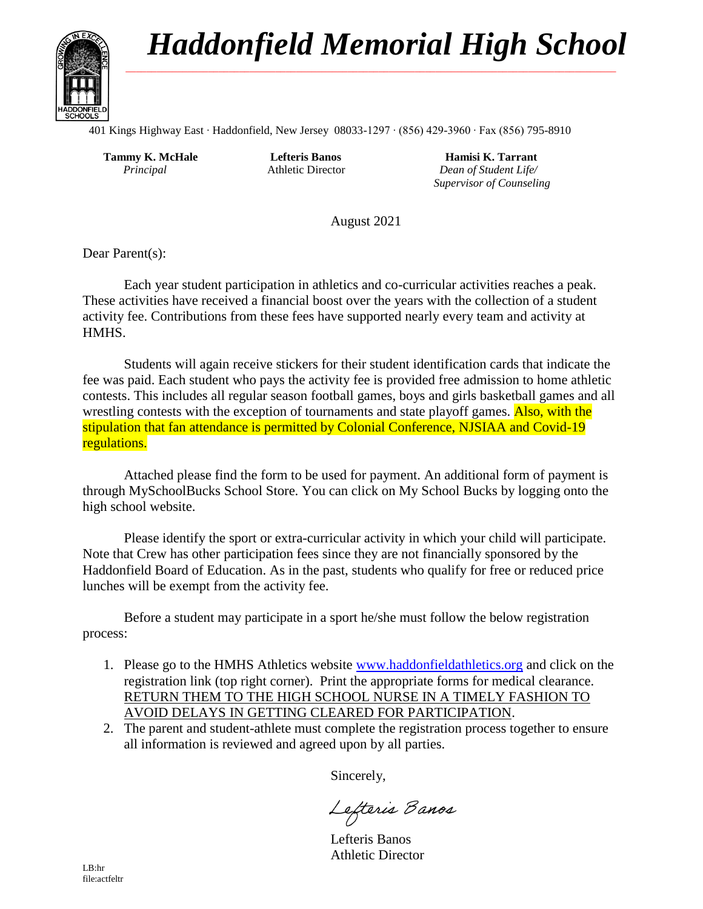## *Haddonfield Memorial High School* **\_\_\_\_\_\_\_\_\_\_\_\_\_\_\_\_\_\_\_\_\_\_\_\_\_\_\_\_\_\_\_\_\_\_\_\_\_\_\_\_\_\_\_\_\_\_\_\_\_\_\_\_\_\_\_\_\_\_\_\_\_\_\_\_\_\_\_\_\_\_\_\_\_\_\_\_\_\_\_\_\_\_\_\_\_\_\_\_\_\_\_\_\_\_\_**

 $\overline{a}$ 



401 Kings Highway East ∙ Haddonfield, New Jersey 08033-1297 ∙ (856) 429-3960 ∙ Fax (856) 795-8910

 **Tammy K. McHale**  *Principal*

 **Lefteris Banos** Athletic Director

 **Hamisi K. Tarrant**  *Dean of Student Life/ Supervisor of Counseling*

August 2021

Dear Parent(s):

Each year student participation in athletics and co-curricular activities reaches a peak. These activities have received a financial boost over the years with the collection of a student activity fee. Contributions from these fees have supported nearly every team and activity at HMHS.

Students will again receive stickers for their student identification cards that indicate the fee was paid. Each student who pays the activity fee is provided free admission to home athletic contests. This includes all regular season football games, boys and girls basketball games and all wrestling contests with the exception of tournaments and state playoff games. Also, with the stipulation that fan attendance is permitted by Colonial Conference, NJSIAA and Covid-19 regulations.

Attached please find the form to be used for payment. An additional form of payment is through MySchoolBucks School Store. You can click on My School Bucks by logging onto the high school website.

Please identify the sport or extra-curricular activity in which your child will participate. Note that Crew has other participation fees since they are not financially sponsored by the Haddonfield Board of Education. As in the past, students who qualify for free or reduced price lunches will be exempt from the activity fee.

Before a student may participate in a sport he/she must follow the below registration process:

- 1. Please go to the HMHS Athletics website [www.haddonfieldathletics.org](http://www.haddonfieldathletics.org/) and click on the registration link (top right corner). Print the appropriate forms for medical clearance. RETURN THEM TO THE HIGH SCHOOL NURSE IN A TIMELY FASHION TO AVOID DELAYS IN GETTING CLEARED FOR PARTICIPATION.
- 2. The parent and student-athlete must complete the registration process together to ensure all information is reviewed and agreed upon by all parties.

Sincerely,

Lefteris Banos

Lefteris Banos Athletic Director